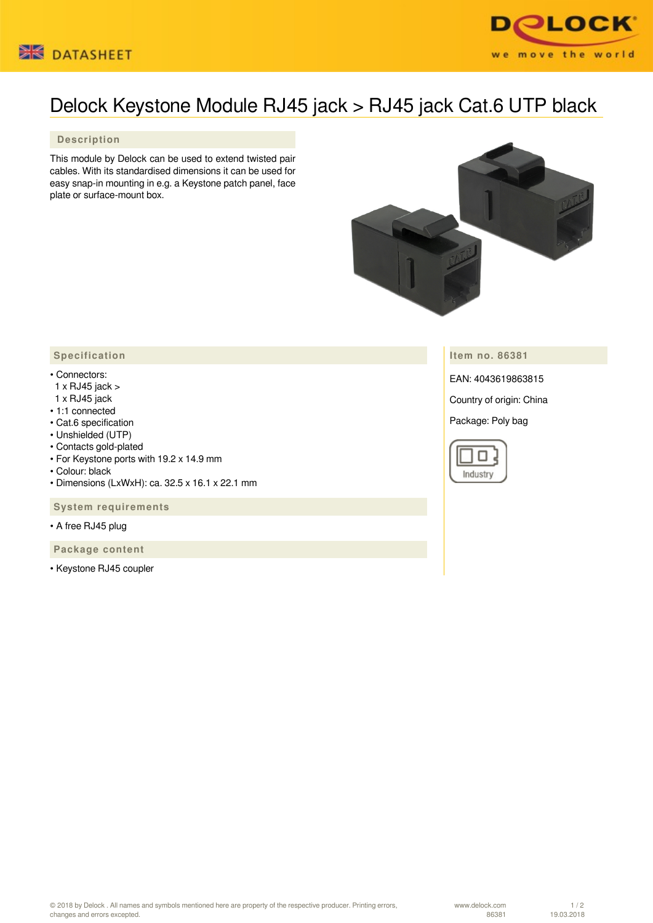



## Delock Keystone Module RJ45 jack > RJ45 jack Cat.6 UTP black

## **Description**

This module by Delock can be used to extend twisted pair cables. With its standardised dimensions it can be used for easy snap-in mounting in e.g. a Keystone patch panel, face plate or surface-mount box.



**Item no. 86381**

EAN: 4043619863815

Country of origin: China

Package: Poly bag



## **Specification**

- Connectors:
- 1 x RJ45 jack >
- 1 x RJ45 jack
- 1:1 connected
- Cat.6 specification
- Unshielded (UTP)
- Contacts gold-plated
- For Keystone ports with 19.2 x 14.9 mm
- Colour: black
- Dimensions (LxWxH): ca. 32.5 x 16.1 x 22.1 mm

 **System requirements**

• A free RJ45 plug

 **Package content**

• Keystone RJ45 coupler